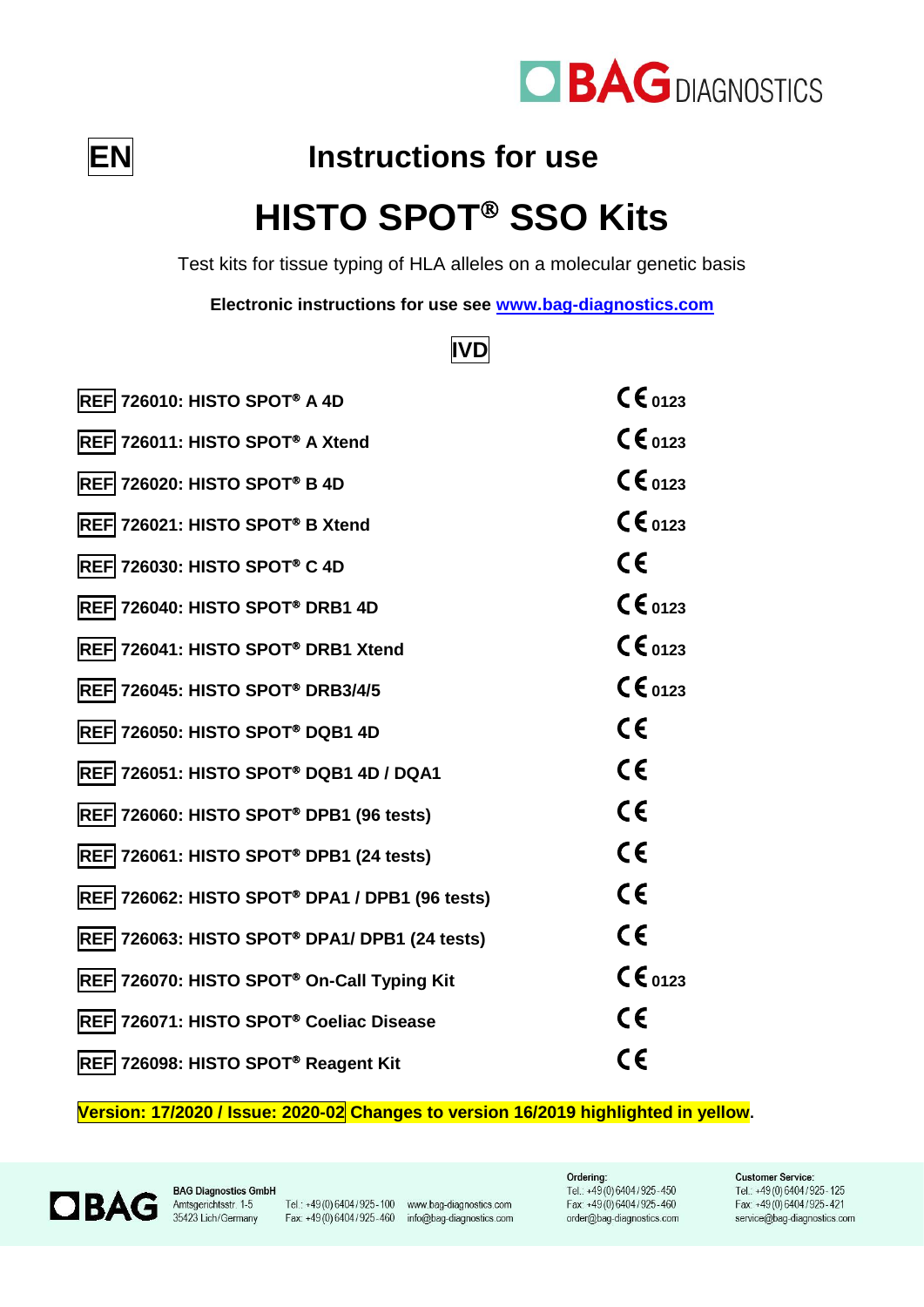

$$
\boxed{\mathsf{EN}}
$$

# **Instructions for use**

# **HISTO SPOT<sup>®</sup> SSO Kits**

Test kits for tissue typing of HLA alleles on a molecular genetic basis

**Electronic instructions for use see [www.bag-diagnostics.com](http://www.bag-diagnostics.com/)**

# **IVD**

| <b>REF 726010: HISTO SPOT® A 4D</b>                   | $CE_{0123}$          |
|-------------------------------------------------------|----------------------|
| REF 726011: HISTO SPOT® A Xtend                       | $\mathsf{CE}_{0123}$ |
| REF 726020: HISTO SPOT® B 4D                          | $\mathsf{CE}_{0123}$ |
| REF 726021: HISTO SPOT® B Xtend                       | $CE_{0123}$          |
| REF 726030: HISTO SPOT® C 4D                          | CE                   |
| REF 726040: HISTO SPOT® DRB1 4D                       | $CE_{0123}$          |
| REF 726041: HISTO SPOT® DRB1 Xtend                    | $CE_{0123}$          |
| REF 726045: HISTO SPOT® DRB3/4/5                      | $CE_{0123}$          |
| REF 726050: HISTO SPOT® DQB1 4D                       | $\epsilon$           |
| REF 726051: HISTO SPOT® DQB1 4D / DQA1                | $\epsilon$           |
| REF 726060: HISTO SPOT® DPB1 (96 tests)               | $\epsilon$           |
| REF 726061: HISTO SPOT® DPB1 (24 tests)               | $\epsilon$           |
| <b>REF 726062: HISTO SPOT® DPA1 / DPB1 (96 tests)</b> | C€                   |
| REF 726063: HISTO SPOT® DPA1/ DPB1 (24 tests)         | $\epsilon$           |
| REF 726070: HISTO SPOT® On-Call Typing Kit            | $\mathsf{CE}_{0123}$ |
| REF 726071: HISTO SPOT® Coeliac Disease               | $\epsilon$           |
| REF 726098: HISTO SPOT® Reagent Kit                   | C€                   |

**Version: 17/2020 / Issue: 2020-02 Changes to version 16/2019 highlighted in yellow.**



**BAG Diagnostics GmbH** 

Tel.: +49(0)6404/925-100 www.bag-diagnostics.com Fax: +49(0) 6404/925-460 info@bag-diagnostics.com

Ordering: Tel.: +49(0)6404/925-450 Fax: +49(0)6404/925-460 order@bag-diagnostics.com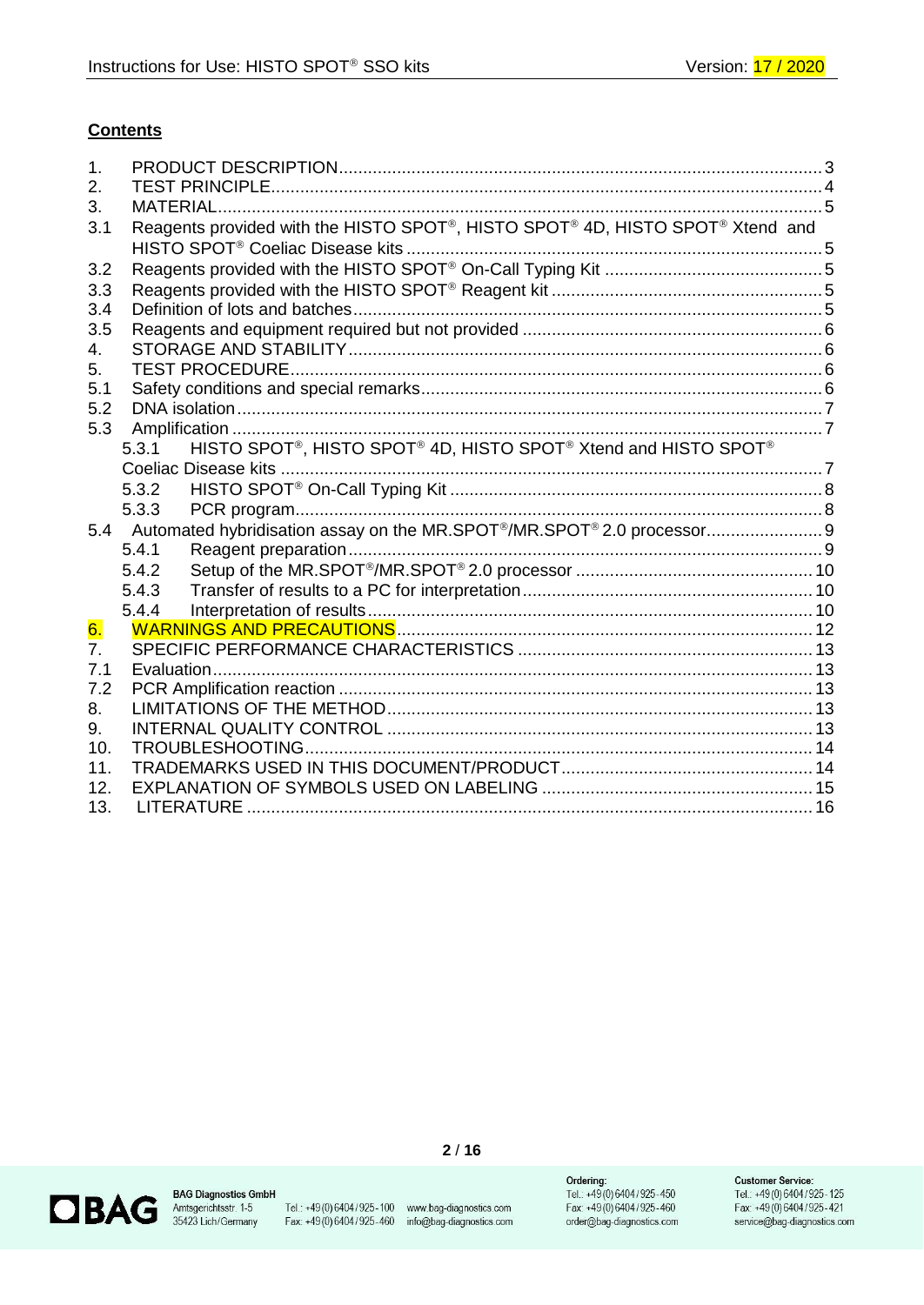#### **Contents**

| 1.               |                                                                               |  |
|------------------|-------------------------------------------------------------------------------|--|
| 2.               |                                                                               |  |
| 3.               |                                                                               |  |
| 3.1              | Reagents provided with the HISTO SPOT®, HISTO SPOT® 4D, HISTO SPOT® Xtend and |  |
|                  |                                                                               |  |
| 3.2              |                                                                               |  |
| 3.3              |                                                                               |  |
| 3.4              |                                                                               |  |
| 3.5              |                                                                               |  |
| 4.               |                                                                               |  |
| 5.               |                                                                               |  |
| 5.1              |                                                                               |  |
| 5.2              |                                                                               |  |
| 5.3              |                                                                               |  |
|                  | HISTO SPOT®, HISTO SPOT® 4D, HISTO SPOT® Xtend and HISTO SPOT®<br>5.3.1       |  |
|                  |                                                                               |  |
|                  | 5.3.2                                                                         |  |
|                  | 5.3.3                                                                         |  |
| 5.4              | Automated hybridisation assay on the MR.SPOT®/MR.SPOT®2.0 processor 9         |  |
|                  | 5.4.1                                                                         |  |
|                  | 5.4.2                                                                         |  |
|                  | 5.4.3                                                                         |  |
|                  | 5.4.4                                                                         |  |
| 6.               |                                                                               |  |
| $\overline{7}$ . |                                                                               |  |
| 7.1              |                                                                               |  |
| 7.2              |                                                                               |  |
| 8.               |                                                                               |  |
| 9.               |                                                                               |  |
| 10.              |                                                                               |  |
| 11.              |                                                                               |  |
| 12.              |                                                                               |  |
| 13.              | <b>LITERATURE</b>                                                             |  |



**BAG Diagnostics GmbH**<br>Amtsgerichtsstr. 1-5<br>35423 Lich/Germany

Tel.: +49 (0) 6404/925-100 www.bag-diagnostics.com<br>Fax. +49 (0) 6404/925-460 info@bag-diagnostics.com

 $2/16$ 

**Ordering:**<br>Tel.: +49 (0) 6404 / 925-450<br>Fax: +49 (0) 6404 / 925-460<br>order@bag-diagnostics.com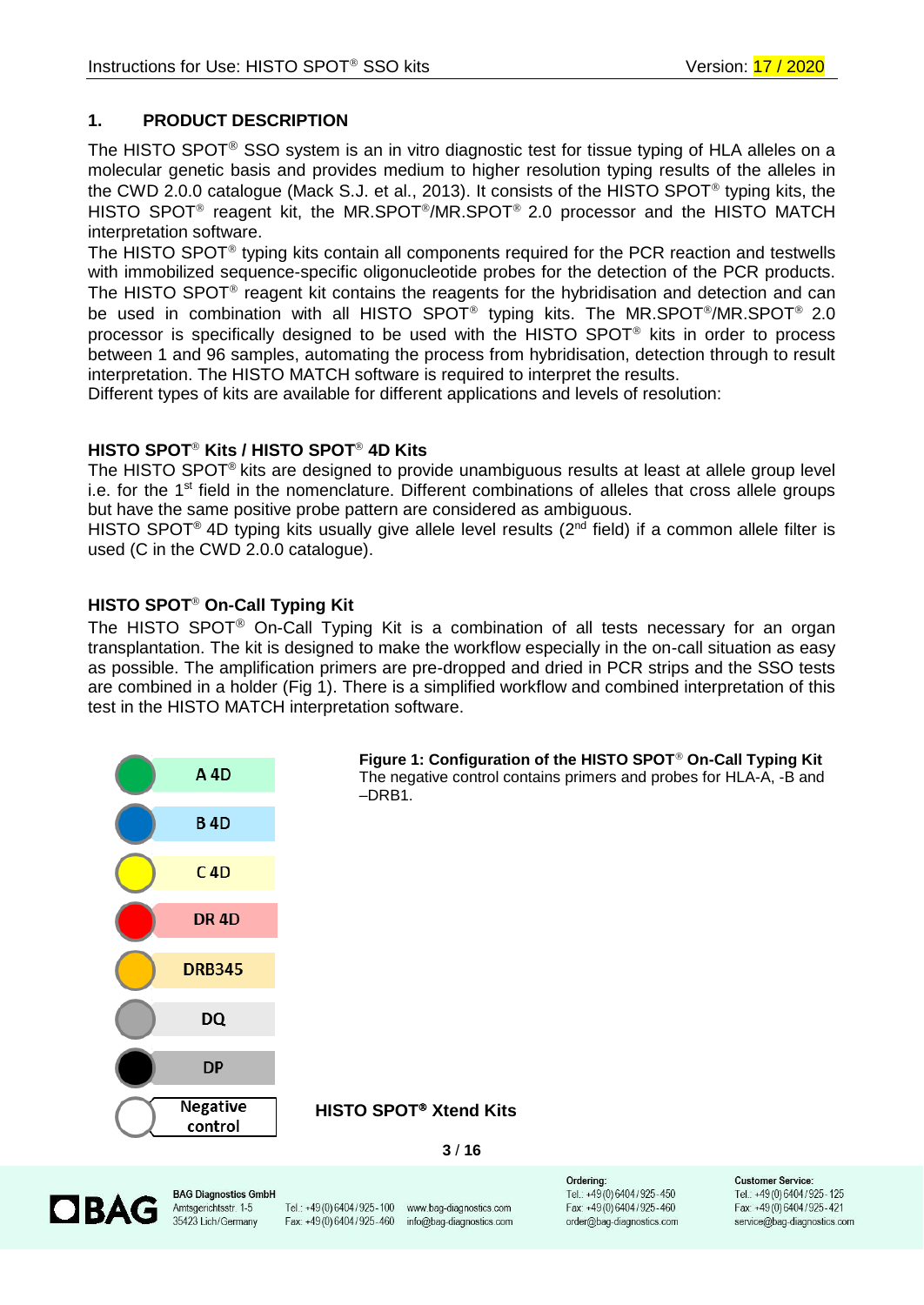# <span id="page-2-0"></span>**1. PRODUCT DESCRIPTION**

The HISTO SPOT<sup>®</sup> SSO system is an in vitro diagnostic test for tissue typing of HLA alleles on a molecular genetic basis and provides medium to higher resolution typing results of the alleles in the CWD 2.0.0 catalogue (Mack S.J. et al., 2013). It consists of the HISTO SPOT<sup>®</sup> typing kits, the HISTO SPOT<sup>®</sup> reagent kit, the MR.SPOT<sup>®</sup>/MR.SPOT<sup>®</sup> 2.0 processor and the HISTO MATCH interpretation software.

The HISTO SPOT<sup>®</sup> typing kits contain all components required for the PCR reaction and testwells with immobilized sequence-specific oligonucleotide probes for the detection of the PCR products. The HISTO SPOT<sup>®</sup> reagent kit contains the reagents for the hybridisation and detection and can be used in combination with all HISTO SPOT<sup>®</sup> typing kits. The MR.SPOT<sup>®</sup>/MR.SPOT<sup>®</sup> 2.0 processor is specifically designed to be used with the HISTO SPOT<sup>®</sup> kits in order to process between 1 and 96 samples, automating the process from hybridisation, detection through to result interpretation. The HISTO MATCH software is required to interpret the results.

Different types of kits are available for different applications and levels of resolution:

# **HISTO SPOT<sup>®</sup> Kits / HISTO SPOT<sup>®</sup> 4D Kits**

The HISTO SPOT<sup>®</sup> kits are designed to provide unambiguous results at least at allele group level i.e. for the 1<sup>st</sup> field in the nomenclature. Different combinations of alleles that cross allele groups but have the same positive probe pattern are considered as ambiguous.

HISTO SPOT<sup>®</sup> 4D typing kits usually give allele level results (2<sup>nd</sup> field) if a common allele filter is used (C in the CWD 2.0.0 catalogue).

# **HISTO SPOT<sup>®</sup> On-Call Typing Kit**

The HISTO SPOT<sup>®</sup> On-Call Typing Kit is a combination of all tests necessary for an organ transplantation. The kit is designed to make the workflow especially in the on-call situation as easy as possible. The amplification primers are pre-dropped and dried in PCR strips and the SSO tests are combined in a holder (Fig 1). There is a simplified workflow and combined interpretation of this test in the HISTO MATCH interpretation software.





**BAG Diagnostics GmbH** Amtsgerichtsstr. 1-5 35423 Lich/Germany

Tel.: +49 (0) 6404 / 925 - 100 www.bag-diagnostics.com Fax: +49(0)6404/925-460 info@bag-diagnostics.com

Orderina: Tel.: +49(0)6404/925-450 Fax: +49(0)6404/925-460 order@bag-diagnostics.com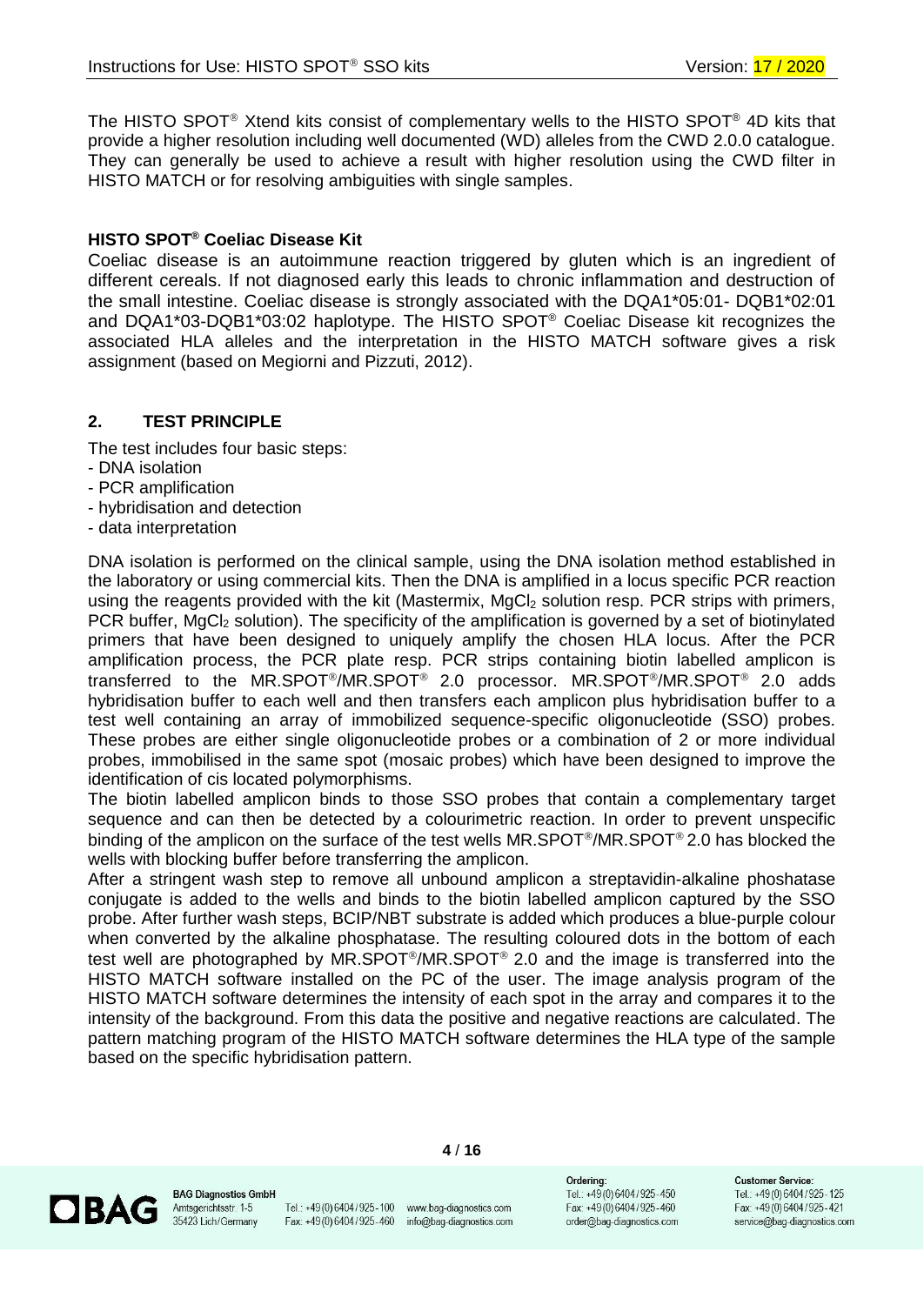The HISTO SPOT<sup>®</sup> Xtend kits consist of complementary wells to the HISTO SPOT<sup>®</sup> 4D kits that provide a higher resolution including well documented (WD) alleles from the CWD 2.0.0 catalogue. They can generally be used to achieve a result with higher resolution using the CWD filter in HISTO MATCH or for resolving ambiguities with single samples.

# **HISTO SPOT® Coeliac Disease Kit**

Coeliac disease is an autoimmune reaction triggered by gluten which is an ingredient of different cereals. If not diagnosed early this leads to chronic inflammation and destruction of the small intestine. Coeliac disease is strongly associated with the DQA1\*05:01- DQB1\*02:01 and DQA1\*03-DQB1\*03:02 haplotype. The HISTO SPOT® Coeliac Disease kit recognizes the associated HLA alleles and the interpretation in the HISTO MATCH software gives a risk assignment (based on Megiorni and Pizzuti, 2012).

# <span id="page-3-0"></span>**2. TEST PRINCIPLE**

The test includes four basic steps:

- DNA isolation
- PCR amplification
- hybridisation and detection
- data interpretation

DNA isolation is performed on the clinical sample, using the DNA isolation method established in the laboratory or using commercial kits. Then the DNA is amplified in a locus specific PCR reaction using the reagents provided with the kit (Mastermix, MgCl<sub>2</sub> solution resp. PCR strips with primers, PCR buffer, MgCl<sub>2</sub> solution). The specificity of the amplification is governed by a set of biotinylated primers that have been designed to uniquely amplify the chosen HLA locus. After the PCR amplification process, the PCR plate resp. PCR strips containing biotin labelled amplicon is transferred to the MR.SPOT<sup>®</sup>/MR.SPOT<sup>®</sup> 2.0 processor. MR.SPOT<sup>®</sup>/MR.SPOT<sup>®</sup> 2.0 adds hybridisation buffer to each well and then transfers each amplicon plus hybridisation buffer to a test well containing an array of immobilized sequence-specific oligonucleotide (SSO) probes. These probes are either single oligonucleotide probes or a combination of 2 or more individual probes, immobilised in the same spot (mosaic probes) which have been designed to improve the identification of cis located polymorphisms.

The biotin labelled amplicon binds to those SSO probes that contain a complementary target sequence and can then be detected by a colourimetric reaction. In order to prevent unspecific binding of the amplicon on the surface of the test wells  $MR.SPOT^{\circ}/MR.SPOT^{\circ}$  2.0 has blocked the wells with blocking buffer before transferring the amplicon.

After a stringent wash step to remove all unbound amplicon a streptavidin-alkaline phoshatase conjugate is added to the wells and binds to the biotin labelled amplicon captured by the SSO probe. After further wash steps, BCIP/NBT substrate is added which produces a blue-purple colour when converted by the alkaline phosphatase. The resulting coloured dots in the bottom of each test well are photographed by MR.SPOT<sup>®</sup>/MR.SPOT<sup>®</sup> 2.0 and the image is transferred into the HISTO MATCH software installed on the PC of the user. The image analysis program of the HISTO MATCH software determines the intensity of each spot in the array and compares it to the intensity of the background. From this data the positive and negative reactions are calculated. The pattern matching program of the HISTO MATCH software determines the HLA type of the sample based on the specific hybridisation pattern.



**BAG Diagnostics GmbH** Amtsgerichtsstr. 1-5 35423 Lich/Germany

Tel.: +49(0)6404/925-100 www.bag-diagnostics.com Fax: +49(0)6404/925-460 info@bag-diagnostics.com

**4** / **16**

Orderina: Tel.: +49(0)6404/925-450 Fax: +49(0)6404/925-460 order@bag-diagnostics.com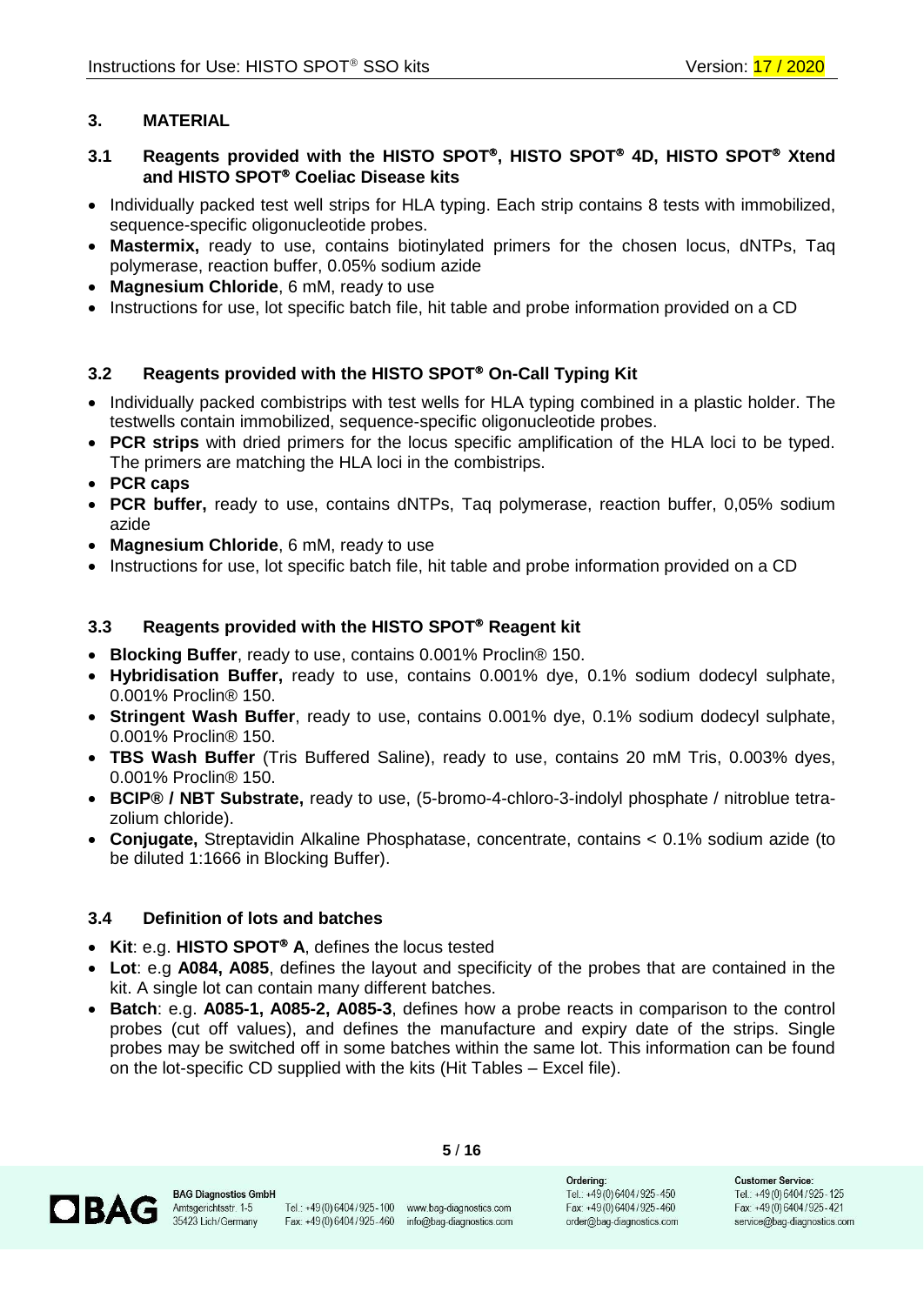# <span id="page-4-0"></span>**3. MATERIAL**

# <span id="page-4-1"></span>**3.1 Reagents provided with the HISTO SPOT, HISTO SPOT 4D, HISTO SPOT Xtend and HISTO SPOT Coeliac Disease kits**

- Individually packed test well strips for HLA typing. Each strip contains 8 tests with immobilized, sequence-specific oligonucleotide probes.
- **Mastermix,** ready to use, contains biotinylated primers for the chosen locus, dNTPs, Taq polymerase, reaction buffer, 0.05% sodium azide
- **Magnesium Chloride**, 6 mM, ready to use
- Instructions for use, lot specific batch file, hit table and probe information provided on a CD

# <span id="page-4-2"></span>**3.2 Reagents provided with the HISTO SPOT On-Call Typing Kit**

- Individually packed combistrips with test wells for HLA typing combined in a plastic holder. The testwells contain immobilized, sequence-specific oligonucleotide probes.
- **PCR strips** with dried primers for the locus specific amplification of the HLA loci to be typed. The primers are matching the HLA loci in the combistrips.
- **PCR caps**
- **PCR buffer,** ready to use, contains dNTPs, Taq polymerase, reaction buffer, 0,05% sodium azide
- **Magnesium Chloride**, 6 mM, ready to use
- Instructions for use, lot specific batch file, hit table and probe information provided on a CD

### <span id="page-4-3"></span>**3.3 Reagents provided with the HISTO SPOT Reagent kit**

- **Blocking Buffer**, ready to use, contains 0.001% Proclin® 150.
- **Hybridisation Buffer,** ready to use, contains 0.001% dye, 0.1% sodium dodecyl sulphate, 0.001% Proclin® 150.
- **Stringent Wash Buffer**, ready to use, contains 0.001% dye, 0.1% sodium dodecyl sulphate, 0.001% Proclin® 150.
- **TBS Wash Buffer** (Tris Buffered Saline), ready to use, contains 20 mM Tris, 0.003% dyes, 0.001% Proclin® 150.
- **BCIP® / NBT Substrate,** ready to use, (5-bromo-4-chloro-3-indolyl phosphate / nitroblue tetrazolium chloride).
- **Conjugate,** Streptavidin Alkaline Phosphatase, concentrate, contains < 0.1% sodium azide (to be diluted 1:1666 in Blocking Buffer).

#### <span id="page-4-4"></span>**3.4 Definition of lots and batches**

- Kit: e.g. HISTO SPOT<sup>®</sup> A, defines the locus tested
- **Lot**: e.g **A084, A085**, defines the layout and specificity of the probes that are contained in the kit. A single lot can contain many different batches.
- **Batch**: e.g. **A085-1, A085-2, A085-3**, defines how a probe reacts in comparison to the control probes (cut off values), and defines the manufacture and expiry date of the strips. Single probes may be switched off in some batches within the same lot. This information can be found on the lot-specific CD supplied with the kits (Hit Tables – Excel file).



**5** / **16**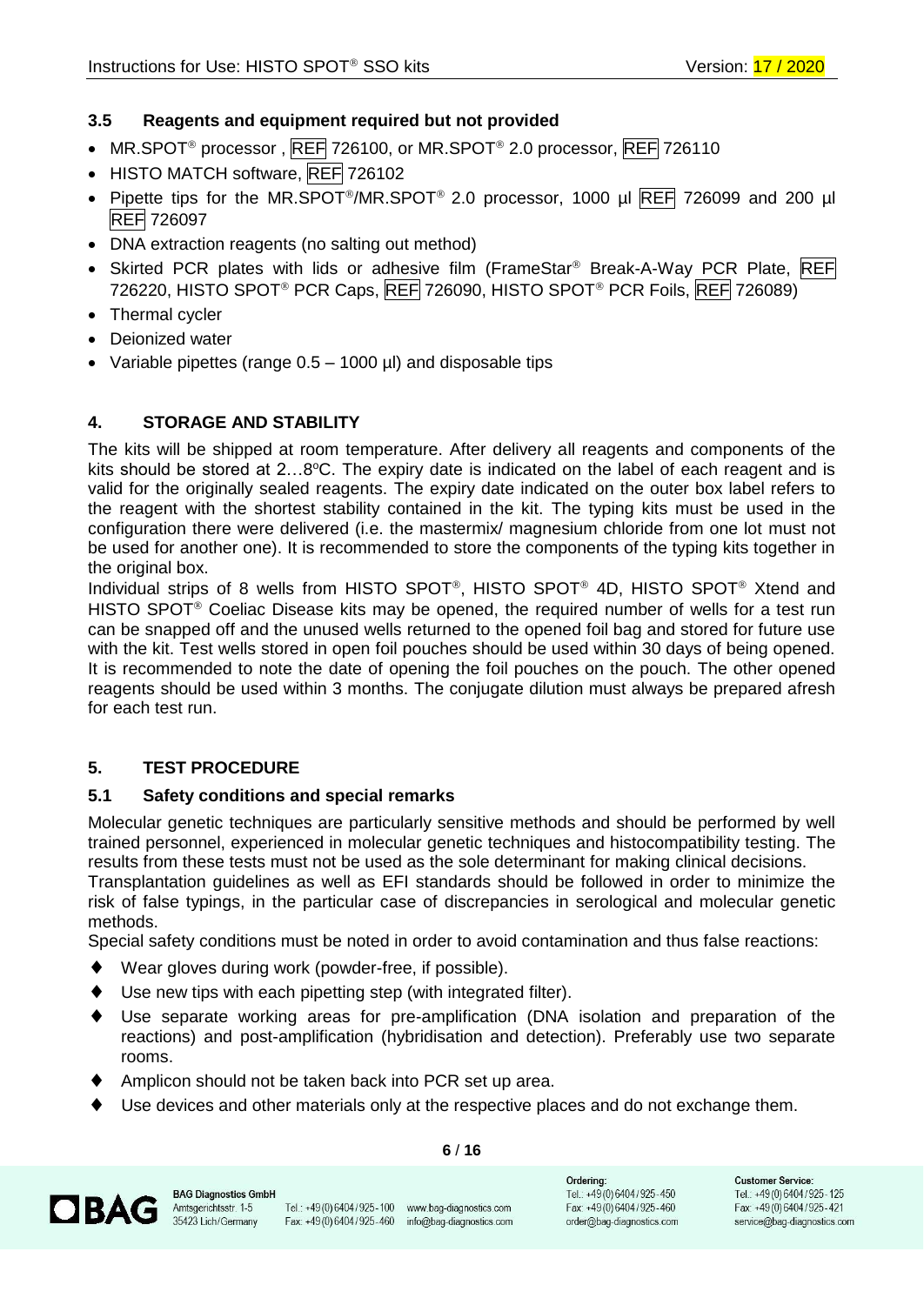# <span id="page-5-0"></span>**3.5 Reagents and equipment required but not provided**

- MR.SPOT<sup>®</sup> processor, REF 726100, or MR.SPOT<sup>®</sup> 2.0 processor, REF 726110
- HISTO MATCH software, REF 726102
- Pipette tips for the MR.SPOT<sup>®</sup>/MR.SPOT<sup>®</sup> 2.0 processor, 1000 µl REF 726099 and 200 µl REF 726097
- DNA extraction reagents (no salting out method)
- Skirted PCR plates with lids or adhesive film (FrameStar® Break-A-Way PCR Plate, REF 726220, HISTO SPOT<sup>®</sup> PCR Caps, REF 726090, HISTO SPOT<sup>®</sup> PCR Foils, REF 726089)
- Thermal cycler
- Deionized water
- Variable pipettes (range  $0.5 1000$  µl) and disposable tips

# <span id="page-5-1"></span>**4. STORAGE AND STABILITY**

The kits will be shipped at room temperature. After delivery all reagents and components of the kits should be stored at  $2...8$ °C. The expiry date is indicated on the label of each reagent and is valid for the originally sealed reagents. The expiry date indicated on the outer box label refers to the reagent with the shortest stability contained in the kit. The typing kits must be used in the configuration there were delivered (i.e. the mastermix/ magnesium chloride from one lot must not be used for another one). It is recommended to store the components of the typing kits together in the original box.

Individual strips of 8 wells from HISTO SPOT®, HISTO SPOT® 4D, HISTO SPOT® Xtend and HISTO SPOT<sup>®</sup> Coeliac Disease kits may be opened, the required number of wells for a test run can be snapped off and the unused wells returned to the opened foil bag and stored for future use with the kit. Test wells stored in open foil pouches should be used within 30 days of being opened. It is recommended to note the date of opening the foil pouches on the pouch. The other opened reagents should be used within 3 months. The conjugate dilution must always be prepared afresh for each test run.

#### <span id="page-5-2"></span>**5. TEST PROCEDURE**

#### <span id="page-5-3"></span>**5.1 Safety conditions and special remarks**

Molecular genetic techniques are particularly sensitive methods and should be performed by well trained personnel, experienced in molecular genetic techniques and histocompatibility testing. The results from these tests must not be used as the sole determinant for making clinical decisions.

Transplantation guidelines as well as EFI standards should be followed in order to minimize the risk of false typings, in the particular case of discrepancies in serological and molecular genetic methods.

Special safety conditions must be noted in order to avoid contamination and thus false reactions:

- Wear gloves during work (powder-free, if possible).
- Use new tips with each pipetting step (with integrated filter).
- Use separate working areas for pre-amplification (DNA isolation and preparation of the reactions) and post-amplification (hybridisation and detection). Preferably use two separate rooms.
- Amplicon should not be taken back into PCR set up area.
- Use devices and other materials only at the respective places and do not exchange them.



Tel.: +49(0)6404/925-100 www.bag-diagnostics.com Fax: +49 (0) 6404 / 925 - 460 info@bag-diagnostics.com

**6** / **16**

Orderina: Tel.: +49(0)6404/925-450 Fax: +49(0)6404/925-460 order@bag-diagnostics.com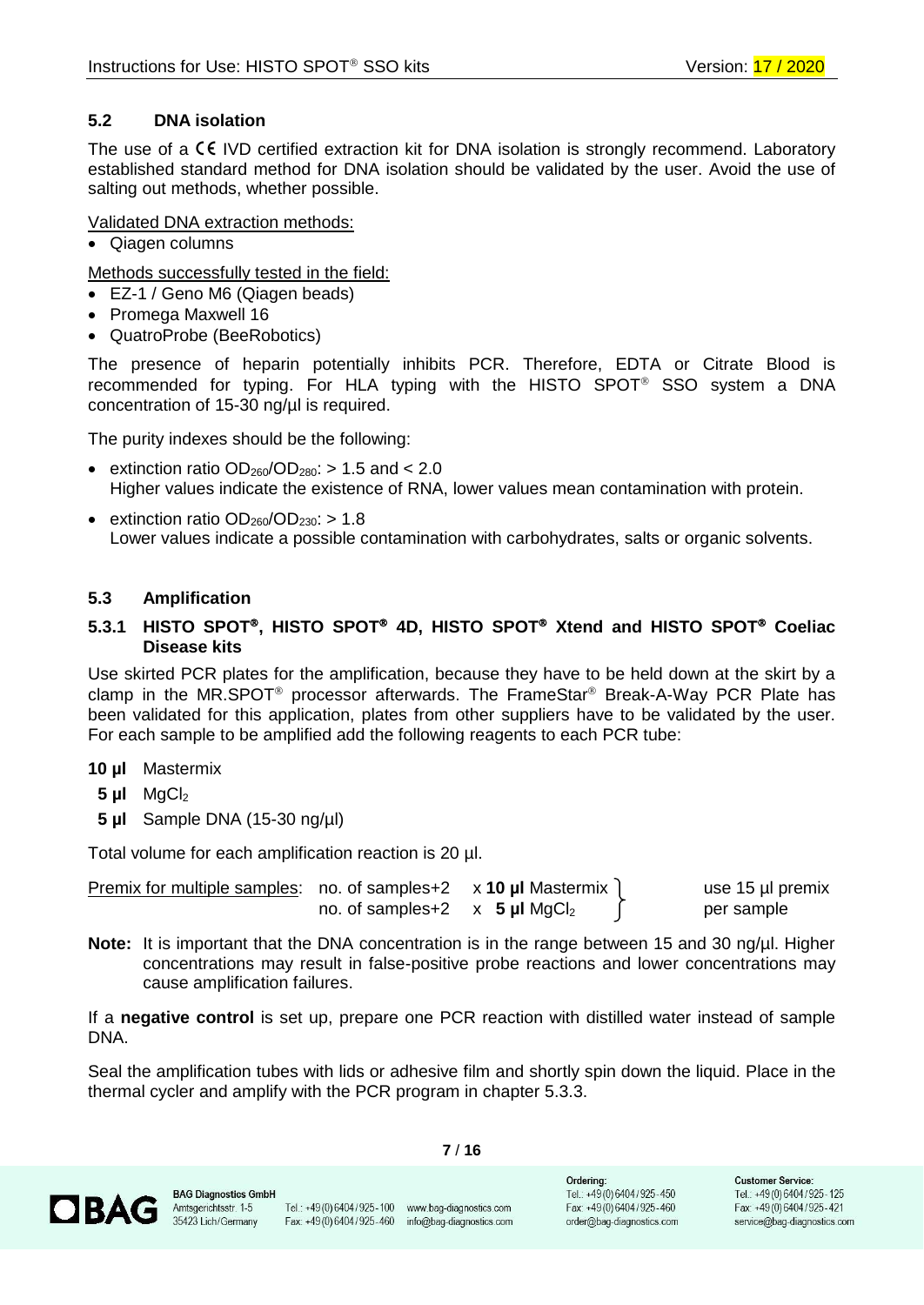# <span id="page-6-0"></span>**5.2 DNA isolation**

The use of a  $\mathsf{C}\mathsf{E}$  IVD certified extraction kit for DNA isolation is strongly recommend. Laboratory established standard method for DNA isolation should be validated by the user. Avoid the use of salting out methods, whether possible.

# Validated DNA extraction methods:

• Qiagen columns

Methods successfully tested in the field:

- EZ-1 / Geno M6 (Qiagen beads)
- Promega Maxwell 16
- QuatroProbe (BeeRobotics)

The presence of heparin potentially inhibits PCR. Therefore, EDTA or Citrate Blood is recommended for typing. For HLA typing with the HISTO SPOT<sup>®</sup> SSO system a DNA concentration of 15-30 ng/µl is required.

The purity indexes should be the following:

- extinction ratio  $OD<sub>260</sub>/OD<sub>280</sub>$ : > 1.5 and < 2.0 Higher values indicate the existence of RNA, lower values mean contamination with protein.
- extinction ratio  $OD_{260}/OD_{230}$ : > 1.8 Lower values indicate a possible contamination with carbohydrates, salts or organic solvents.

# <span id="page-6-1"></span>**5.3 Amplification**

# <span id="page-6-2"></span>**5.3.1 HISTO SPOT, HISTO SPOT 4D, HISTO SPOT Xtend and HISTO SPOT Coeliac Disease kits**

Use skirted PCR plates for the amplification, because they have to be held down at the skirt by a clamp in the MR.SPOT<sup>®</sup> processor afterwards. The FrameStar<sup>®</sup> Break-A-Way PCR Plate has been validated for this application, plates from other suppliers have to be validated by the user. For each sample to be amplified add the following reagents to each PCR tube:

#### **10 µl** Mastermix

- **5 µl** MgCl<sup>2</sup>
- **5 µl** Sample DNA (15-30 ng/µl)

Total volume for each amplification reaction is 20 µl.

Premix for multiple samples: no. of samples+2 x **10 µl** Mastermix and use 15 µl premix no. of samples+2  $\times$  5  $\mu$ I MgCl<sub>2</sub>  $\uparrow$  per sample

**Note:** It is important that the DNA concentration is in the range between 15 and 30 ng/ul. Higher concentrations may result in false-positive probe reactions and lower concentrations may cause amplification failures.

If a **negative control** is set up, prepare one PCR reaction with distilled water instead of sample DNA.

Seal the amplification tubes with lids or adhesive film and shortly spin down the liquid. Place in the thermal cycler and amplify with the PCR program in chapter 5.3.3.

**7** / **16**

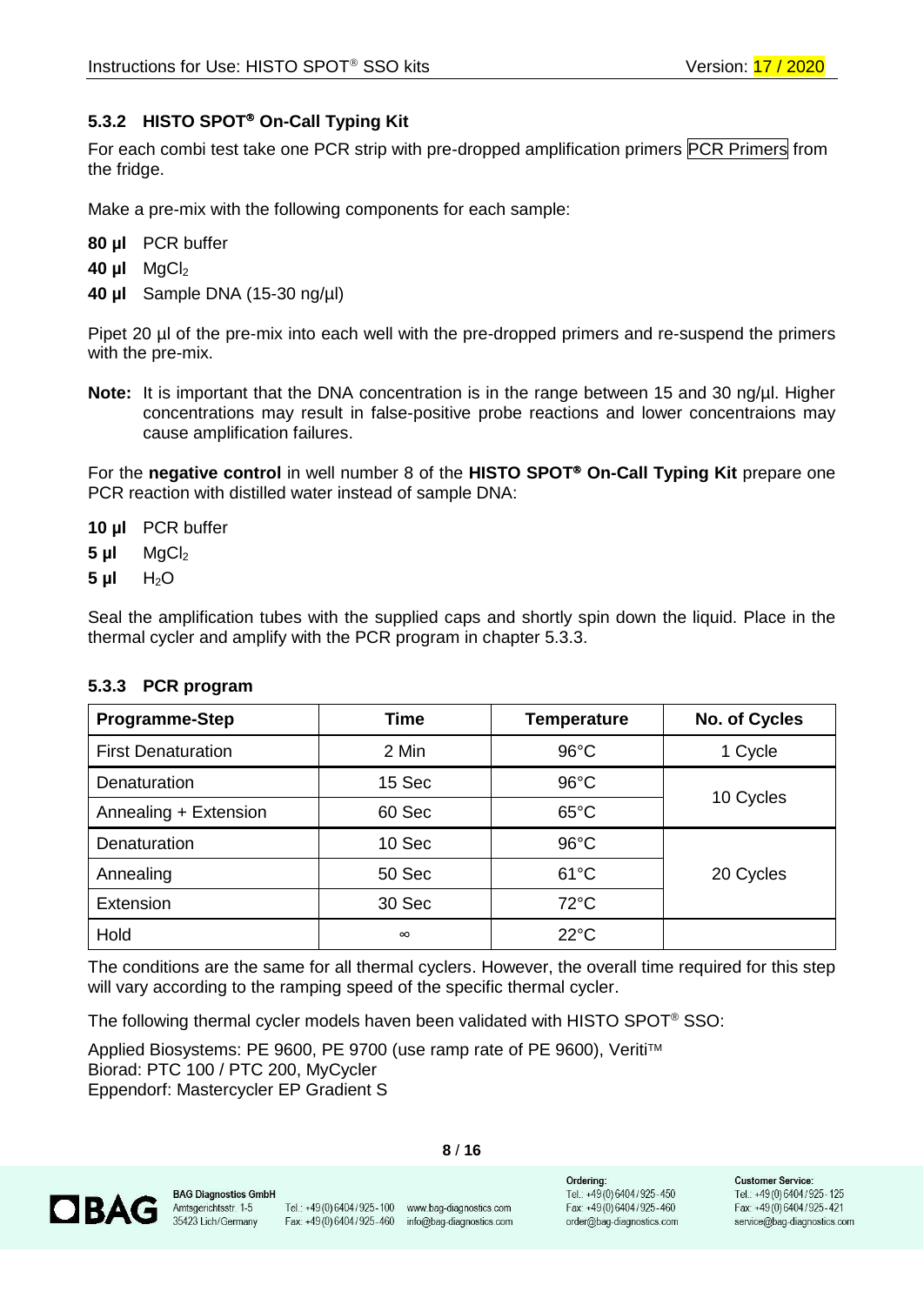# <span id="page-7-0"></span>**5.3.2 HISTO SPOT On-Call Typing Kit**

For each combi test take one PCR strip with pre-dropped amplification primers PCR Primers from the fridge.

Make a pre-mix with the following components for each sample:

| 80 µl |  | PCR buffer |
|-------|--|------------|
|-------|--|------------|

- **40 µl** MgCl<sub>2</sub>
- **40 µl** Sample DNA (15-30 ng/µl)

Pipet 20 µl of the pre-mix into each well with the pre-dropped primers and re-suspend the primers with the pre-mix.

**Note:** It is important that the DNA concentration is in the range between 15 and 30 ng/µl. Higher concentrations may result in false-positive probe reactions and lower concentraions may cause amplification failures.

For the **negative control** in well number 8 of the **HISTO SPOT On-Call Typing Kit** prepare one PCR reaction with distilled water instead of sample DNA:

- **10 µl** PCR buffer
- **5 µl** MgCl<sup>2</sup>
- **5 µl** H2O

Seal the amplification tubes with the supplied caps and shortly spin down the liquid. Place in the thermal cycler and amplify with the PCR program in chapter 5.3.3.

| <b>Programme-Step</b>     | Time     | <b>Temperature</b> | No. of Cycles |  |
|---------------------------|----------|--------------------|---------------|--|
| <b>First Denaturation</b> | 2 Min    | $96^{\circ}$ C     | 1 Cycle       |  |
| Denaturation              | 15 Sec   | $96^{\circ}$ C     |               |  |
| Annealing + Extension     | 60 Sec   | $65^{\circ}$ C     | 10 Cycles     |  |
| Denaturation              | 10 Sec   | $96^{\circ}$ C     |               |  |
| Annealing                 | 50 Sec   | $61^{\circ}$ C     | 20 Cycles     |  |
| Extension                 | 30 Sec   | $72^{\circ}$ C     |               |  |
| Hold                      | $\infty$ | $22^{\circ}$ C     |               |  |

#### <span id="page-7-1"></span>**5.3.3 PCR program**

The conditions are the same for all thermal cyclers. However, the overall time required for this step will vary according to the ramping speed of the specific thermal cycler.

The following thermal cycler models haven been validated with HISTO SPOT® SSO:

Applied Biosystems: PE 9600, PE 9700 (use ramp rate of PE 9600), Veriti™ Biorad: PTC 100 / PTC 200, MyCycler Eppendorf: Mastercycler EP Gradient S

**OBAG** 

Tel.: +49 (0) 6404 / 925 - 100 www.bag-diagnostics.com Fax: +49 (0) 6404 / 925 - 460 info@bag-diagnostics.com

**8** / **16**

Orderina: Tel.: +49(0)6404/925-450 Fax: +49(0)6404/925-460 order@bag-diagnostics.com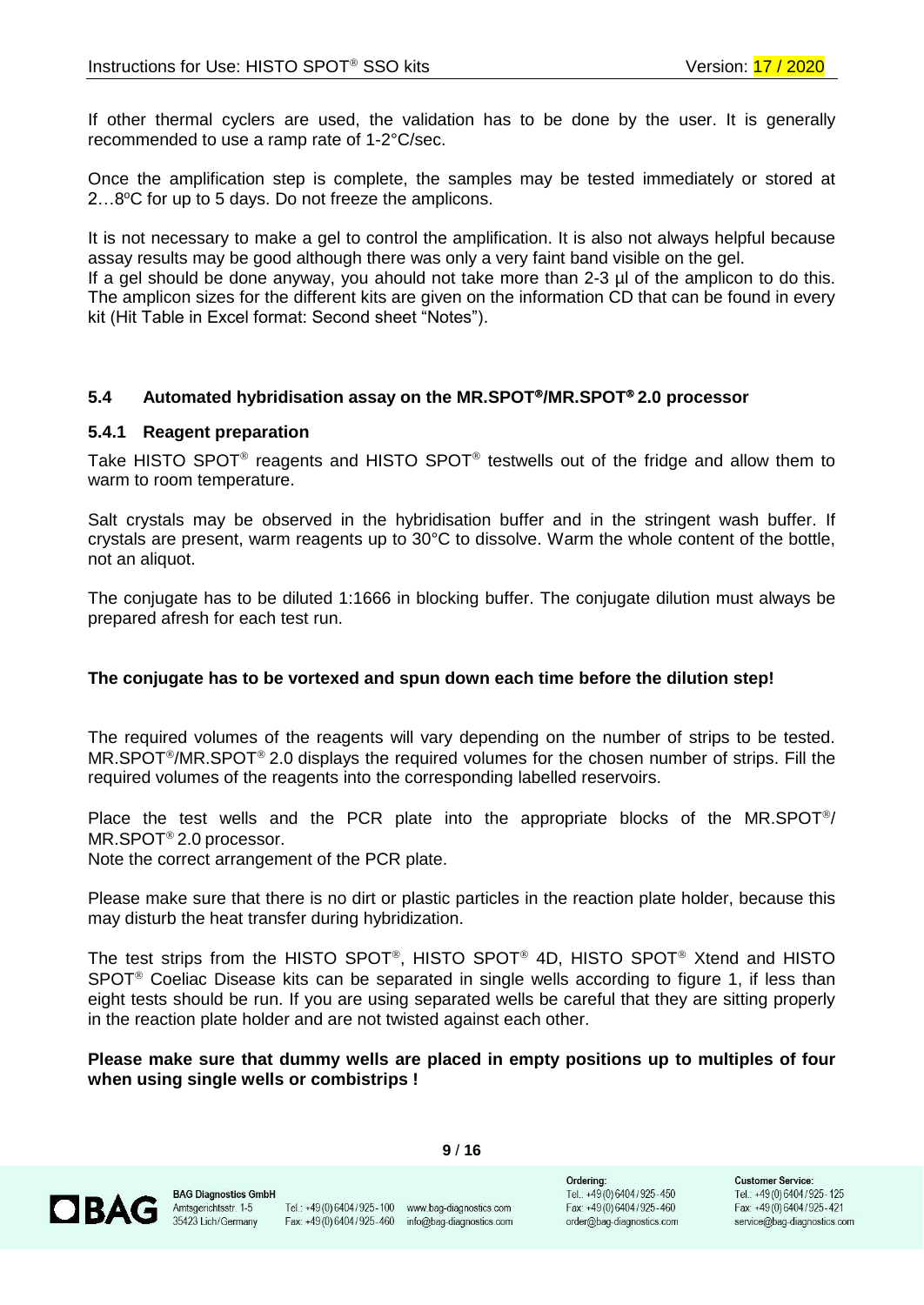If other thermal cyclers are used, the validation has to be done by the user. It is generally recommended to use a ramp rate of 1-2°C/sec.

Once the amplification step is complete, the samples may be tested immediately or stored at 2...8°C for up to 5 days. Do not freeze the amplicons.

It is not necessary to make a gel to control the amplification. It is also not always helpful because assay results may be good although there was only a very faint band visible on the gel. If a gel should be done anyway, you ahould not take more than 2-3 µl of the amplicon to do this. The amplicon sizes for the different kits are given on the information CD that can be found in every kit (Hit Table in Excel format: Second sheet "Notes").

#### <span id="page-8-0"></span>**5.4 Automated hybridisation assay on the MR.SPOT/MR.SPOT 2.0 processor**

#### <span id="page-8-1"></span>**5.4.1 Reagent preparation**

Take HISTO SPOT<sup>®</sup> reagents and HISTO SPOT<sup>®</sup> testwells out of the fridge and allow them to warm to room temperature.

Salt crystals may be observed in the hybridisation buffer and in the stringent wash buffer. If crystals are present, warm reagents up to 30°C to dissolve. Warm the whole content of the bottle, not an aliquot.

The conjugate has to be diluted 1:1666 in blocking buffer. The conjugate dilution must always be prepared afresh for each test run.

#### **The conjugate has to be vortexed and spun down each time before the dilution step!**

The required volumes of the reagents will vary depending on the number of strips to be tested.  $MR.SPOT<sup>®</sup>/MR.SPOT<sup>®</sup> 2.0 displays the required volumes for the chosen number of strips. Fill the$ required volumes of the reagents into the corresponding labelled reservoirs.

Place the test wells and the PCR plate into the appropriate blocks of the MR.SPOT $\degree$ /  $MR.SPOT<sup>®</sup> 2.0 processor.$ 

Note the correct arrangement of the PCR plate.

Please make sure that there is no dirt or plastic particles in the reaction plate holder, because this may disturb the heat transfer during hybridization.

The test strips from the HISTO SPOT®, HISTO SPOT® 4D, HISTO SPOT® Xtend and HISTO SPOT<sup>®</sup> Coeliac Disease kits can be separated in single wells according to figure 1, if less than eight tests should be run. If you are using separated wells be careful that they are sitting properly in the reaction plate holder and are not twisted against each other.

**Please make sure that dummy wells are placed in empty positions up to multiples of four when using single wells or combistrips !**



Tel.: +49(0)6404/925-100 www.bag-diagnostics.com Fax: +49 (0) 6404 / 925 - 460 info@bag-diagnostics.com

**9** / **16**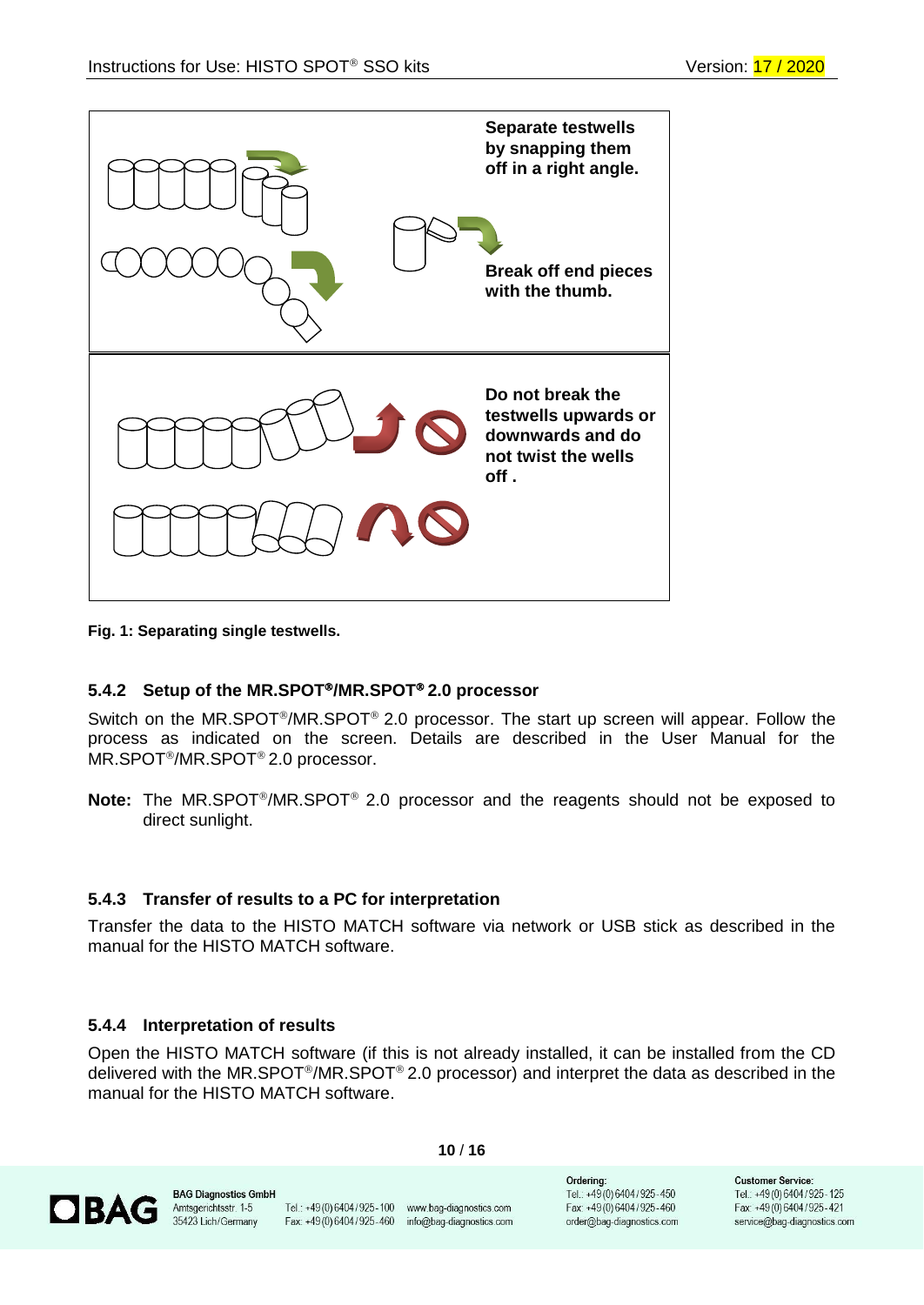

#### **Fig. 1: Separating single testwells.**

#### <span id="page-9-0"></span>**5.4.2 Setup of the MR.SPOT/MR.SPOT 2.0 processor**

Switch on the MR.SPOT<sup>®</sup>/MR.SPOT<sup>®</sup> 2.0 processor. The start up screen will appear. Follow the process as indicated on the screen. Details are described in the User Manual for the MR.SPOT<sup>®</sup>/MR.SPOT<sup>®</sup> 2.0 processor.

**Note:** The MR.SPOT<sup>®</sup>/MR.SPOT<sup>®</sup> 2.0 processor and the reagents should not be exposed to direct sunlight.

#### <span id="page-9-1"></span>**5.4.3 Transfer of results to a PC for interpretation**

Transfer the data to the HISTO MATCH software via network or USB stick as described in the manual for the HISTO MATCH software.

#### <span id="page-9-2"></span>**5.4.4 Interpretation of results**

Open the HISTO MATCH software (if this is not already installed, it can be installed from the CD delivered with the MR.SPOT<sup>®</sup>/MR.SPOT<sup>®</sup> 2.0 processor) and interpret the data as described in the manual for the HISTO MATCH software.



Tel.: +49 (0) 6404 / 925 - 100 www.bag-diagnostics.com Fax: +49(0)6404/925-460 info@bag-diagnostics.com

**10** / **16**

Orderina: Tel.: +49(0)6404/925-450 Fax: +49(0)6404/925-460 order@bag-diagnostics.com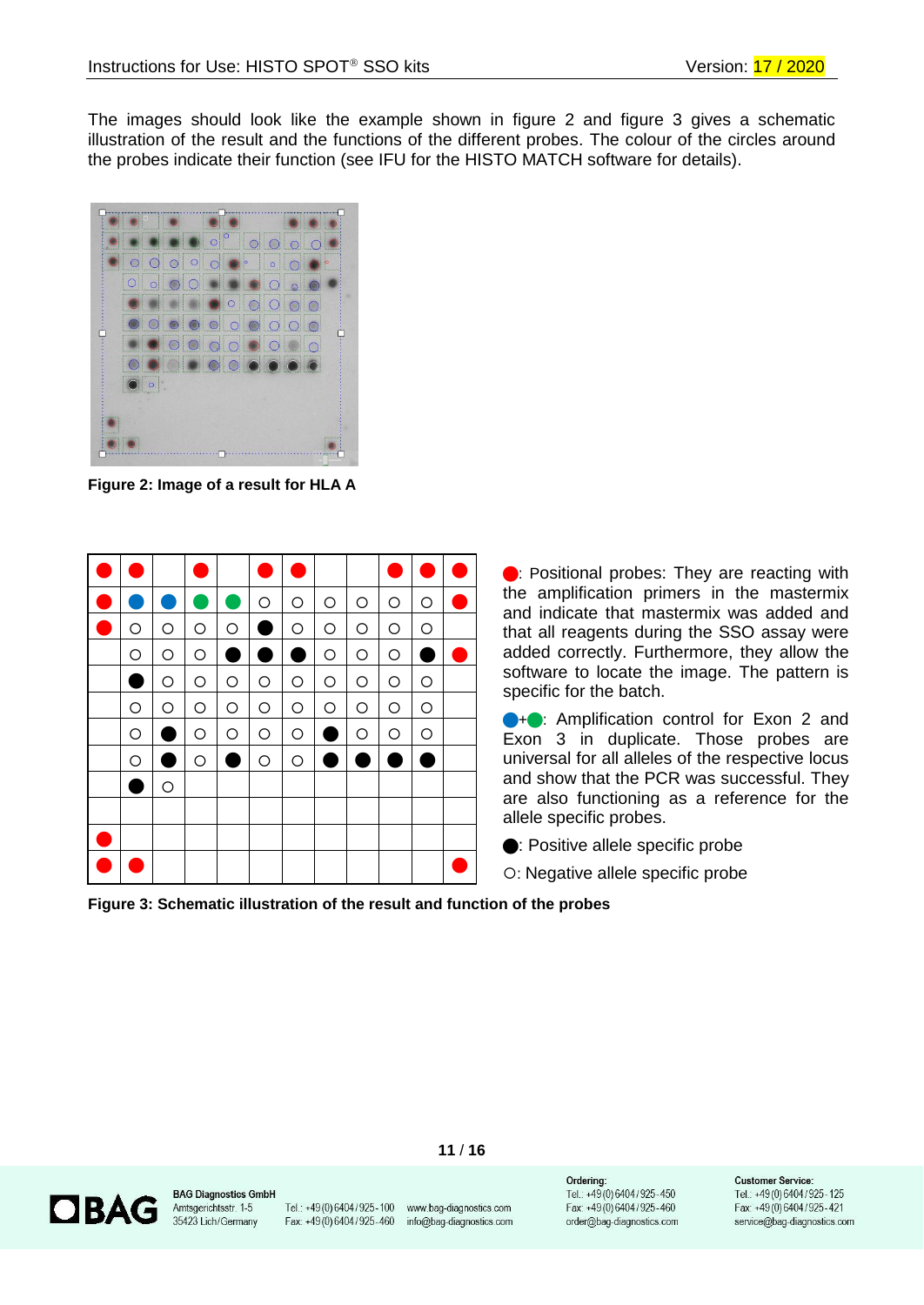The images should look like the example shown in figure 2 and figure 3 gives a schematic illustration of the result and the functions of the different probes. The colour of the circles around the probes indicate their function (see IFU for the HISTO MATCH software for details).



**Figure 2: Image of a result for HLA A**



**•**: Positional probes: They are reacting with the amplification primers in the mastermix and indicate that mastermix was added and that all reagents during the SSO assay were added correctly. Furthermore, they allow the software to locate the image. The pattern is specific for the batch.

**••** Amplification control for Exon 2 and Exon 3 in duplicate. Those probes are universal for all alleles of the respective locus and show that the PCR was successful. They are also functioning as a reference for the allele specific probes.

: Positive allele specific probe

: Negative allele specific probe

**Figure 3: Schematic illustration of the result and function of the probes**



**BAG Diagnostics GmbH** Amtsgerichtsstr. 1-5 35423 Lich/Germany

Tel.: +49 (0) 6404 / 925 - 100 www.bag-diagnostics.com Fax: +49 (0) 6404 / 925 - 460 info@bag-diagnostics.com

**11** / **16**

Orderina: Tel.: +49(0)6404/925-450 Fax: +49(0)6404/925-460 order@bag-diagnostics.com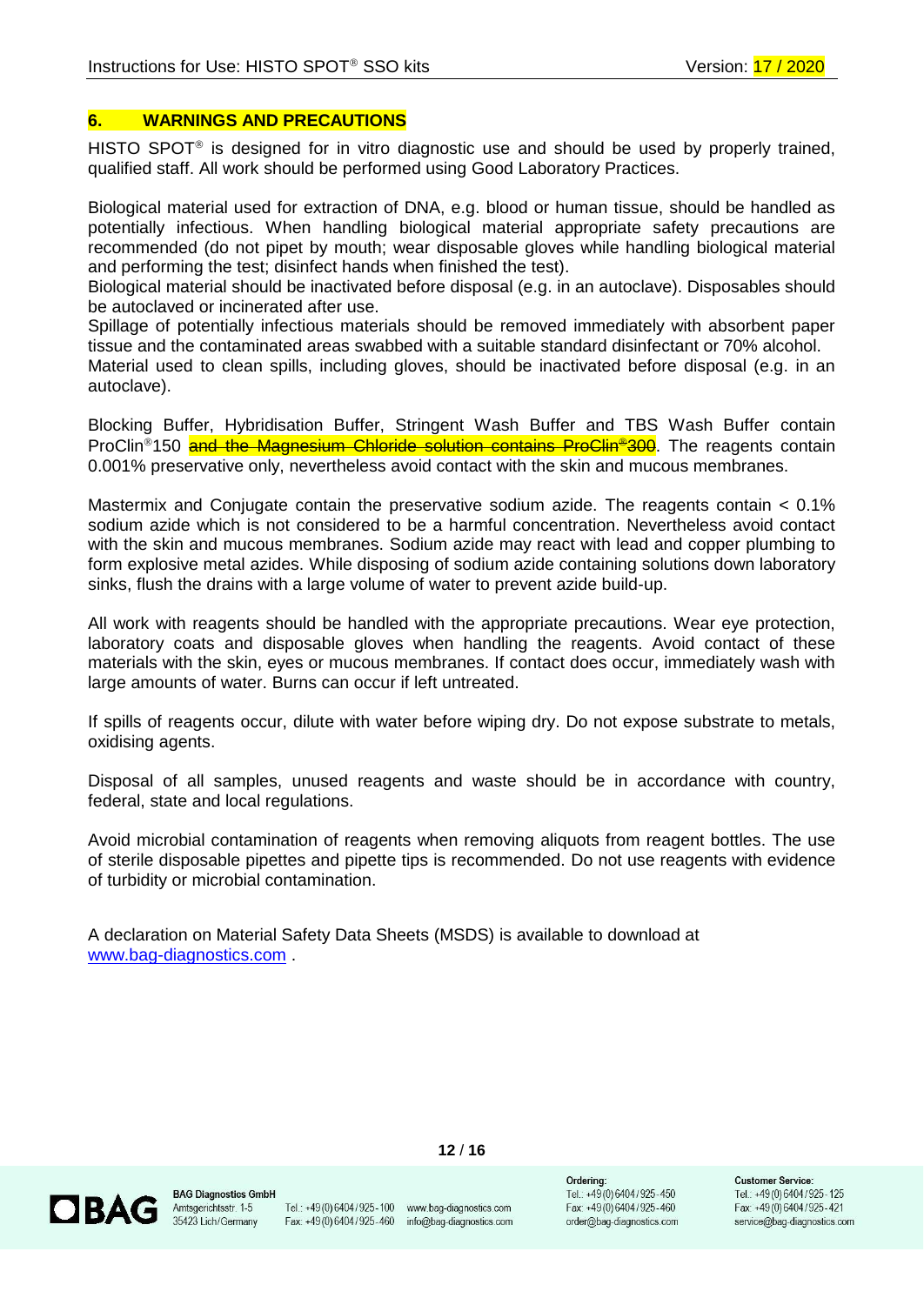#### <span id="page-11-0"></span>**6. WARNINGS AND PRECAUTIONS**

HISTO SPOT<sup>®</sup> is designed for in vitro diagnostic use and should be used by properly trained, qualified staff. All work should be performed using Good Laboratory Practices.

Biological material used for extraction of DNA, e.g. blood or human tissue, should be handled as potentially infectious. When handling biological material appropriate safety precautions are recommended (do not pipet by mouth; wear disposable gloves while handling biological material and performing the test; disinfect hands when finished the test).

Biological material should be inactivated before disposal (e.g. in an autoclave). Disposables should be autoclaved or incinerated after use.

Spillage of potentially infectious materials should be removed immediately with absorbent paper tissue and the contaminated areas swabbed with a suitable standard disinfectant or 70% alcohol.

Material used to clean spills, including gloves, should be inactivated before disposal (e.g. in an autoclave).

Blocking Buffer, Hybridisation Buffer, Stringent Wash Buffer and TBS Wash Buffer contain ProClin<sup>®</sup>150 and the Magnesium Chloride solution contains ProClin<sup>®</sup>300. The reagents contain 0.001% preservative only, nevertheless avoid contact with the skin and mucous membranes.

Mastermix and Conjugate contain the preservative sodium azide. The reagents contain < 0.1% sodium azide which is not considered to be a harmful concentration. Nevertheless avoid contact with the skin and mucous membranes. Sodium azide may react with lead and copper plumbing to form explosive metal azides. While disposing of sodium azide containing solutions down laboratory sinks, flush the drains with a large volume of water to prevent azide build-up.

All work with reagents should be handled with the appropriate precautions. Wear eye protection, laboratory coats and disposable gloves when handling the reagents. Avoid contact of these materials with the skin, eyes or mucous membranes. If contact does occur, immediately wash with large amounts of water. Burns can occur if left untreated.

If spills of reagents occur, dilute with water before wiping dry. Do not expose substrate to metals, oxidising agents.

Disposal of all samples, unused reagents and waste should be in accordance with country, federal, state and local regulations.

Avoid microbial contamination of reagents when removing aliquots from reagent bottles. The use of sterile disposable pipettes and pipette tips is recommended. Do not use reagents with evidence of turbidity or microbial contamination.

A declaration on Material Safety Data Sheets (MSDS) is available to download at [www.bag-diagnostics.com](http://www.bag-diagnostics.com/) .



**BAG Diagnostics GmbH** Amtsgerichtsstr. 1-5 35423 Lich/Germany

Tel.: +49 (0) 6404 / 925 - 100 www.bag-diagnostics.com Fax: +49(0)6404/925-460 info@bag-diagnostics.com

**12** / **16**

Orderina: Tel.: +49(0)6404/925-450 Fax: +49(0)6404/925-460 order@bag-diagnostics.com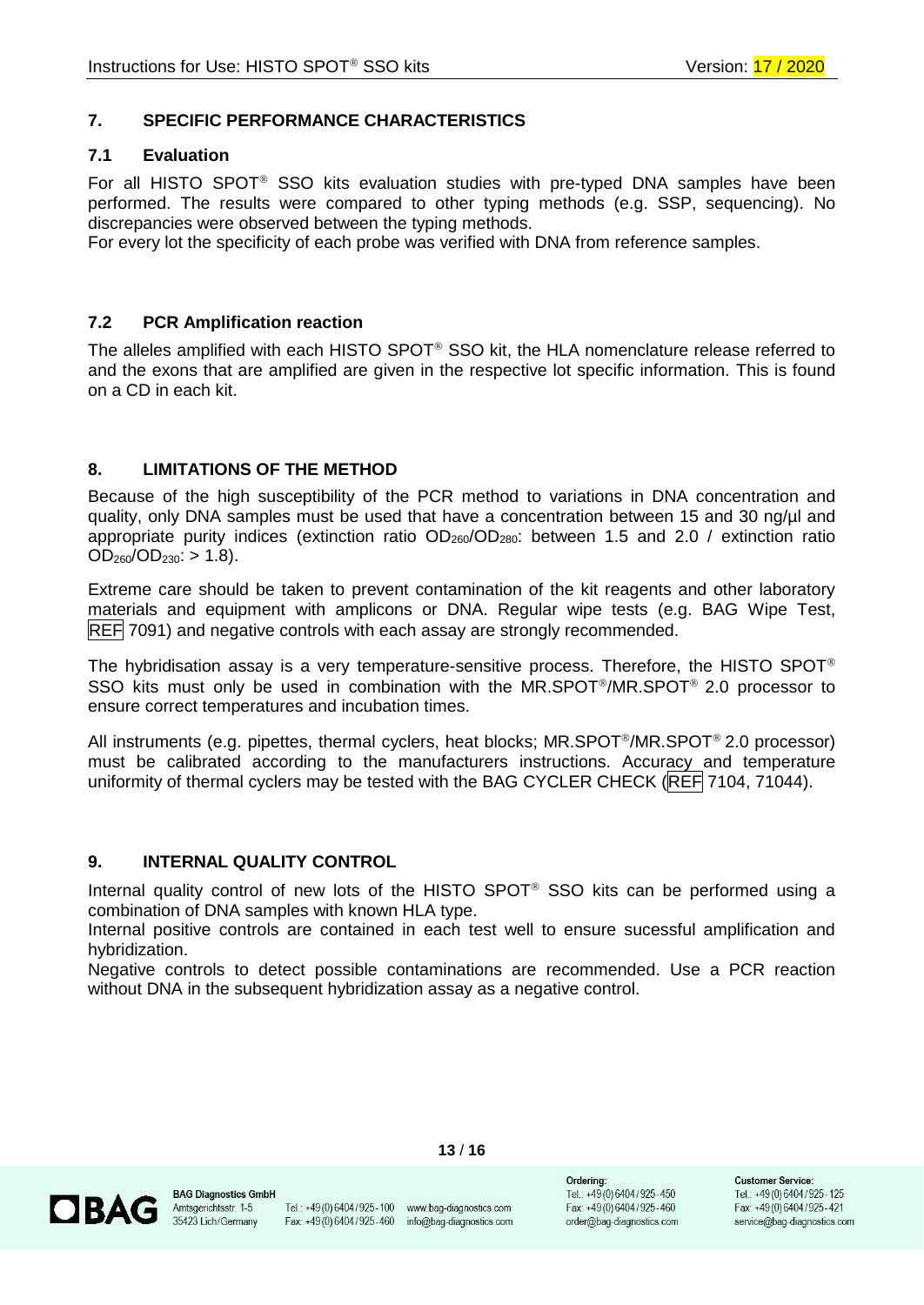# <span id="page-12-0"></span>**7. SPECIFIC PERFORMANCE CHARACTERISTICS**

### <span id="page-12-1"></span>**7.1 Evaluation**

For all HISTO SPOT<sup>®</sup> SSO kits evaluation studies with pre-typed DNA samples have been performed. The results were compared to other typing methods (e.g. SSP, sequencing). No discrepancies were observed between the typing methods.

For every lot the specificity of each probe was verified with DNA from reference samples.

#### <span id="page-12-2"></span>**7.2 PCR Amplification reaction**

The alleles amplified with each HISTO SPOT<sup>®</sup> SSO kit, the HLA nomenclature release referred to and the exons that are amplified are given in the respective lot specific information. This is found on a CD in each kit.

#### <span id="page-12-3"></span>**8. LIMITATIONS OF THE METHOD**

Because of the high [susceptibility](http://dict.leo.org/ende?lp=ende&p=Ci4HO3kMAA&search=susceptibility&trestr=0x8001) of the PCR method to variations in DNA concentration and quality, only DNA samples must be used that have a concentration between 15 and 30 ng/µl and appropriate purity indices (extinction ratio  $OD_{260}/OD_{280}$ : between 1.5 and 2.0 / extinction ratio  $OD_{260}/OD_{230}$ : > 1.8).

Extreme care should be taken to prevent contamination of the kit reagents and other laboratory materials and equipment with amplicons or DNA. Regular wipe tests (e.g. BAG Wipe Test, REF 7091) and negative controls with each assay are strongly recommended.

The hybridisation assay is a very temperature-sensitive process. Therefore, the HISTO SPOT<sup>®</sup> SSO kits must only be used in combination with the MR.SPOT<sup>®</sup>/MR.SPOT<sup>®</sup> 2.0 processor to ensure correct temperatures and incubation times.

All instruments (e.g. pipettes, thermal cyclers, heat blocks; MR.SPOT<sup>®</sup>/MR.SPOT<sup>®</sup> 2.0 processor) must be calibrated according to the manufacturers instructions. Accuracy and temperature uniformity of thermal cyclers may be tested with the BAG CYCLER CHECK (REF 7104, 71044).

#### <span id="page-12-4"></span>**9. INTERNAL QUALITY CONTROL**

Internal quality control of new lots of the HISTO SPOT<sup>®</sup> SSO kits can be performed using a combination of DNA samples with known HLA type.

Internal positive controls are contained in each test well to ensure sucessful amplification and hybridization.

Negative controls to detect possible contaminations are recommended. Use a PCR reaction without DNA in the subsequent hybridization assay as a negative control.



**BAG Diagnostics GmbH** Amtsgerichtsstr. 1-5 35423 Lich/Germany

Tel.: +49 (0) 6404 / 925 - 100 www.bag-diagnostics.com Fax: +49(0)6404/925-460 info@bag-diagnostics.com

**13** / **16**

Orderina: Tel.: +49(0)6404/925-450 Fax: +49(0)6404/925-460 order@bag-diagnostics.com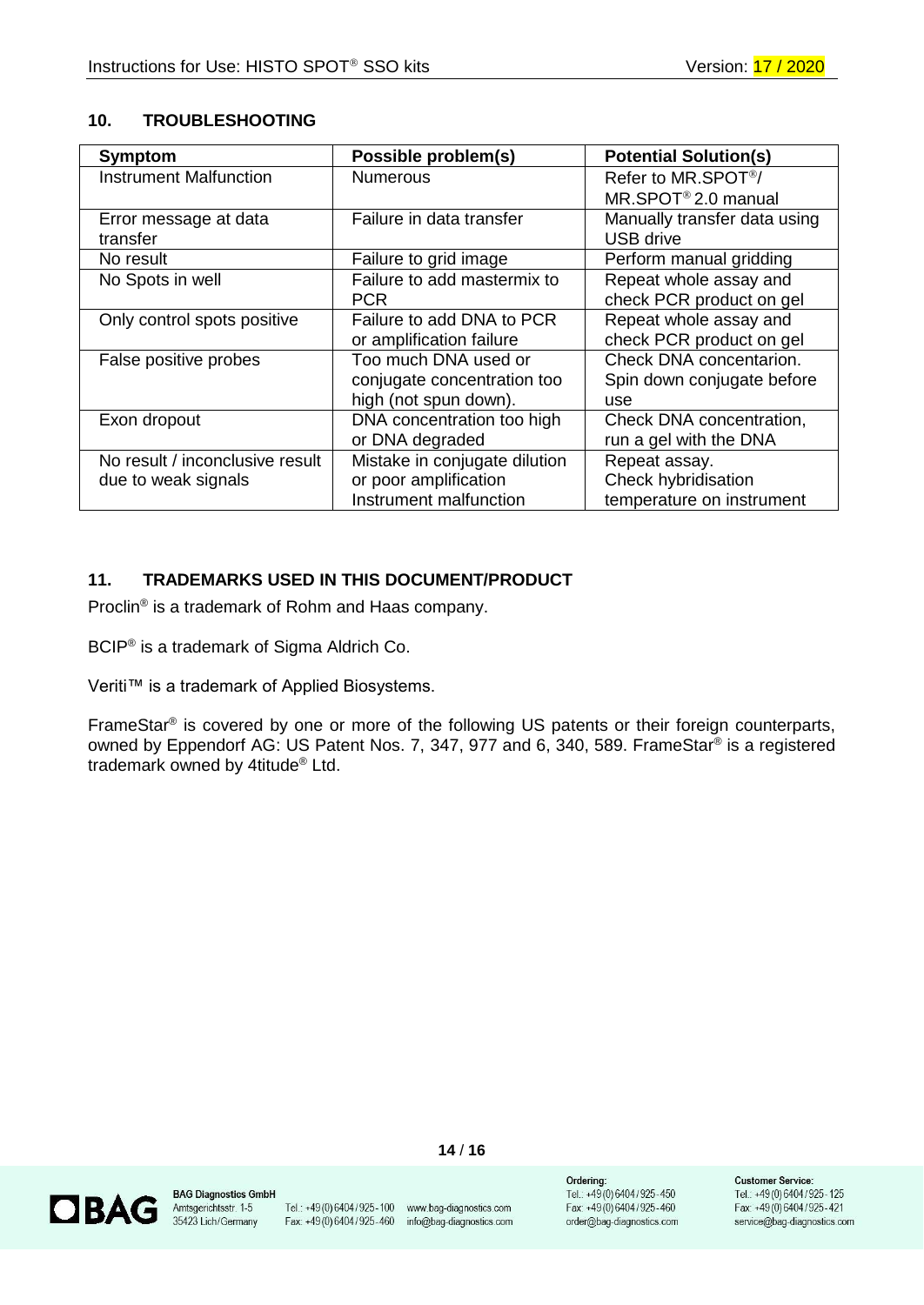# <span id="page-13-0"></span>**10. TROUBLESHOOTING**

| <b>Symptom</b>                  | Possible problem(s)           | <b>Potential Solution(s)</b>    |
|---------------------------------|-------------------------------|---------------------------------|
| <b>Instrument Malfunction</b>   | <b>Numerous</b>               | Refer to MR.SPOT <sup>®</sup> / |
|                                 |                               | MR.SPOT <sup>®</sup> 2.0 manual |
| Error message at data           | Failure in data transfer      | Manually transfer data using    |
| transfer                        |                               | <b>USB drive</b>                |
| No result                       | Failure to grid image         | Perform manual gridding         |
| No Spots in well                | Failure to add mastermix to   | Repeat whole assay and          |
|                                 | <b>PCR</b>                    | check PCR product on gel        |
| Only control spots positive     | Failure to add DNA to PCR     | Repeat whole assay and          |
|                                 | or amplification failure      | check PCR product on gel        |
| False positive probes           | Too much DNA used or          | Check DNA concentarion.         |
|                                 | conjugate concentration too   | Spin down conjugate before      |
|                                 | high (not spun down).         | use                             |
| Exon dropout                    | DNA concentration too high    | Check DNA concentration,        |
|                                 | or DNA degraded               | run a gel with the DNA          |
| No result / inconclusive result | Mistake in conjugate dilution | Repeat assay.                   |
| due to weak signals             | or poor amplification         | Check hybridisation             |
|                                 | Instrument malfunction        | temperature on instrument       |

# <span id="page-13-1"></span>**11. TRADEMARKS USED IN THIS DOCUMENT/PRODUCT**

Proclin<sup>®</sup> is a trademark of Rohm and Haas company.

BCIP® is a trademark of Sigma Aldrich Co.

Veriti™ is a trademark of Applied Biosystems.

FrameStar<sup>®</sup> is covered by one or more of the following US patents or their foreign counterparts, owned by Eppendorf AG: US Patent Nos. 7, 347, 977 and 6, 340, 589. FrameStar® is a registered trademark owned by 4titude® Ltd.



**BAG Diagnostics GmbH** Antsgerichtsstr. 1-5<br>35423 Lich/Germany

Tel.: +49 (0) 6404 / 925 - 100 www.bag-diagnostics.com<br>Fax: +49 (0) 6404 / 925 - 460 info@bag-diagnostics.com

**14** / **16**

Ordering: Tel.: +49(0)6404/925-450 Fax: +49(0)6404/925-460 order@bag-diagnostics.com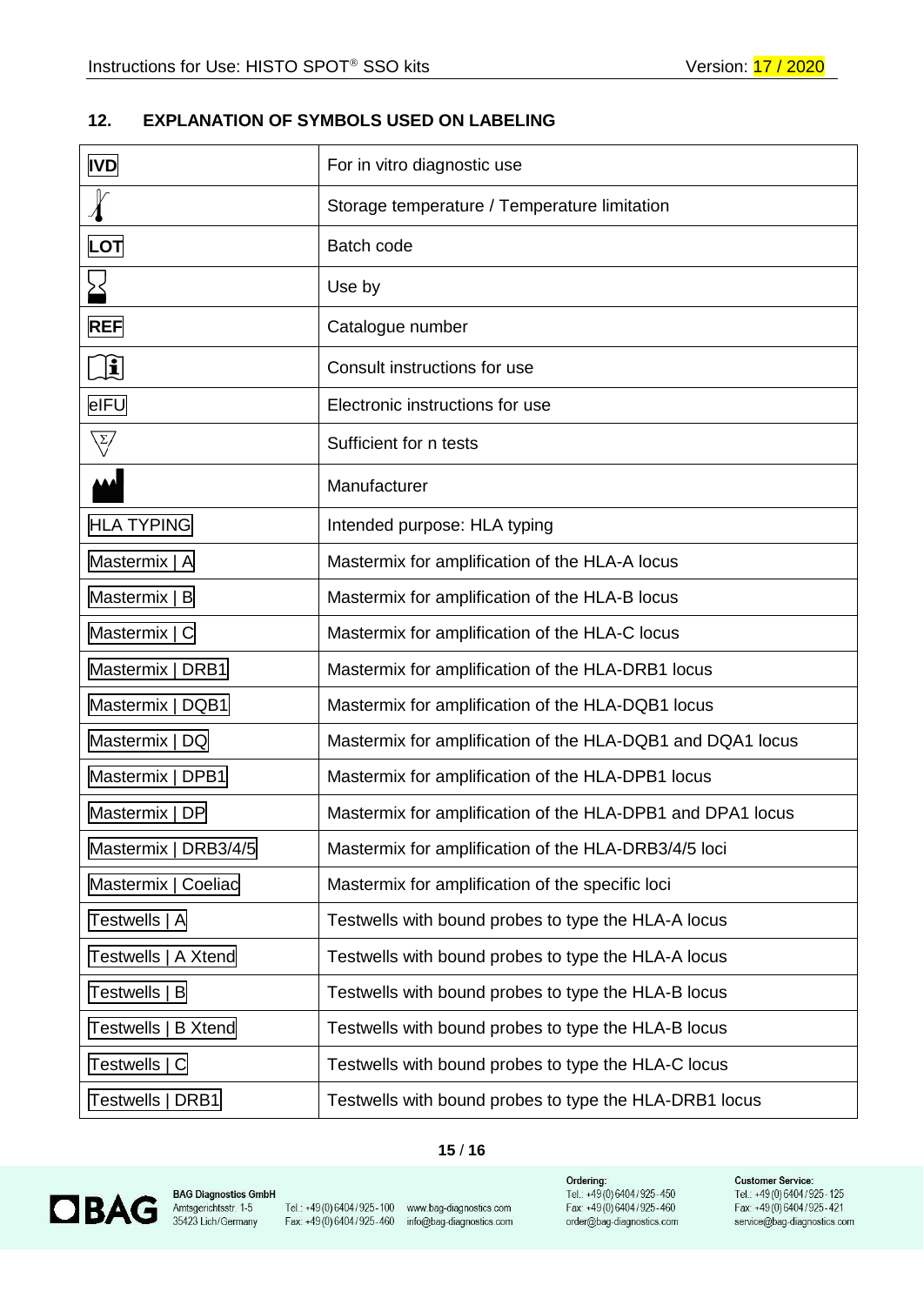# <span id="page-14-0"></span>**12. EXPLANATION OF SYMBOLS USED ON LABELING**

| <b>IVD</b>                         | For in vitro diagnostic use                                |
|------------------------------------|------------------------------------------------------------|
|                                    | Storage temperature / Temperature limitation               |
| LOT                                | Batch code                                                 |
|                                    | Use by                                                     |
| <b>REF</b>                         | Catalogue number                                           |
| <u>הן</u>                          | Consult instructions for use                               |
| eIFU                               | Electronic instructions for use                            |
| $\sqrt{2}/$                        | Sufficient for n tests                                     |
|                                    | Manufacturer                                               |
| <b>HLA TYPING</b>                  | Intended purpose: HLA typing                               |
| Mastermix   A                      | Mastermix for amplification of the HLA-A locus             |
| Mastermix   B                      | Mastermix for amplification of the HLA-B locus             |
| Mastermix   C                      | Mastermix for amplification of the HLA-C locus             |
| Mastermix   DRB1                   | Mastermix for amplification of the HLA-DRB1 locus          |
| Mastermix   DQB1                   | Mastermix for amplification of the HLA-DQB1 locus          |
| Mastermix   DQ                     | Mastermix for amplification of the HLA-DQB1 and DQA1 locus |
| Mastermix   DPB1                   | Mastermix for amplification of the HLA-DPB1 locus          |
| Mastermix   DP                     | Mastermix for amplification of the HLA-DPB1 and DPA1 locus |
| Mastermix   DRB3/4/5               | Mastermix for amplification of the HLA-DRB3/4/5 loci       |
| Mastermix   Coeliac                | Mastermix for amplification of the specific loci           |
| Testwells   A                      | Testwells with bound probes to type the HLA-A locus        |
| Testwells   A Xtend                | Testwells with bound probes to type the HLA-A locus        |
| Testwells   B                      | Testwells with bound probes to type the HLA-B locus        |
| <b>Testwells</b><br><b>B</b> Xtend | Testwells with bound probes to type the HLA-B locus        |
| Testwells   C                      | Testwells with bound probes to type the HLA-C locus        |
| Testwells   DRB1                   | Testwells with bound probes to type the HLA-DRB1 locus     |

### **15** / **16**



**BAG Diagnostics GmbH**<br>Amtsgerichtsstr. 1-5<br>35423 Lich/Germany

Tel.: +49 (0) 6404/925-100 www.bag-diagnostics.com<br>Fax. +49 (0) 6404/925-460 info@bag-diagnostics.com

**Ordering:**<br>Tel.: +49 (0) 6404 / 925-450<br>Fax: +49 (0) 6404 / 925-460<br>order@bag-diagnostics.com